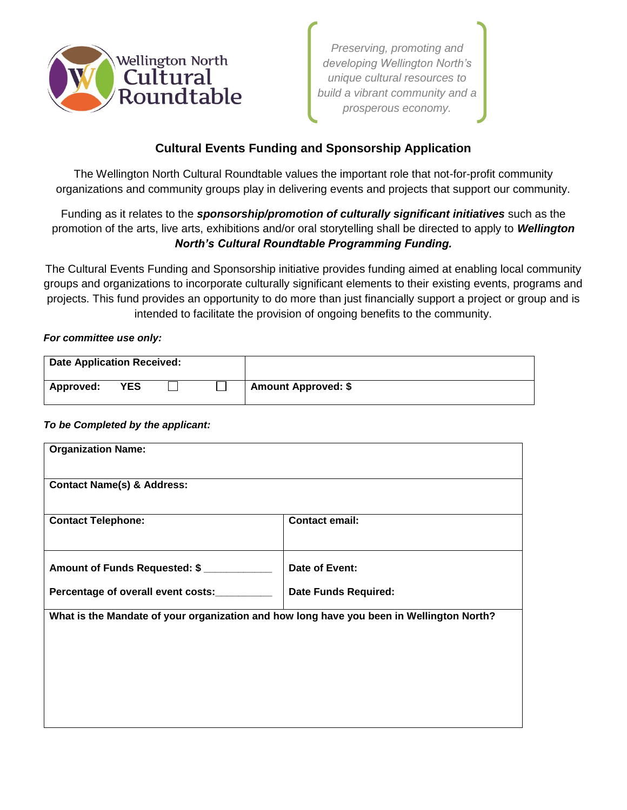

*Preserving, promoting and developing Wellington North's unique cultural resources to build a vibrant community and a prosperous economy.* 

## **Cultural Events Funding and Sponsorship Application**

The Wellington North Cultural Roundtable values the important role that not-for-profit community organizations and community groups play in delivering events and projects that support our community.

Funding as it relates to the *sponsorship/promotion of culturally significant initiatives* such as the promotion of the arts, live arts, exhibitions and/or oral storytelling shall be directed to apply to *Wellington North's Cultural Roundtable Programming Funding.*

The Cultural Events Funding and Sponsorship initiative provides funding aimed at enabling local community groups and organizations to incorporate culturally significant elements to their existing events, programs and projects. This fund provides an opportunity to do more than just financially support a project or group and is intended to facilitate the provision of ongoing benefits to the community.

## *For committee use only:*

| <b>Date Application Received:</b> |            |  |                            |
|-----------------------------------|------------|--|----------------------------|
| Approved:                         | <b>YES</b> |  | <b>Amount Approved: \$</b> |

## *To be Completed by the applicant:*

| <b>Organization Name:</b>                                                                |                             |  |  |  |  |
|------------------------------------------------------------------------------------------|-----------------------------|--|--|--|--|
| <b>Contact Name(s) &amp; Address:</b>                                                    |                             |  |  |  |  |
| <b>Contact Telephone:</b>                                                                | <b>Contact email:</b>       |  |  |  |  |
| Amount of Funds Requested: \$                                                            | Date of Event:              |  |  |  |  |
| Percentage of overall event costs:                                                       | <b>Date Funds Required:</b> |  |  |  |  |
| What is the Mandate of your organization and how long have you been in Wellington North? |                             |  |  |  |  |
|                                                                                          |                             |  |  |  |  |
|                                                                                          |                             |  |  |  |  |
|                                                                                          |                             |  |  |  |  |
|                                                                                          |                             |  |  |  |  |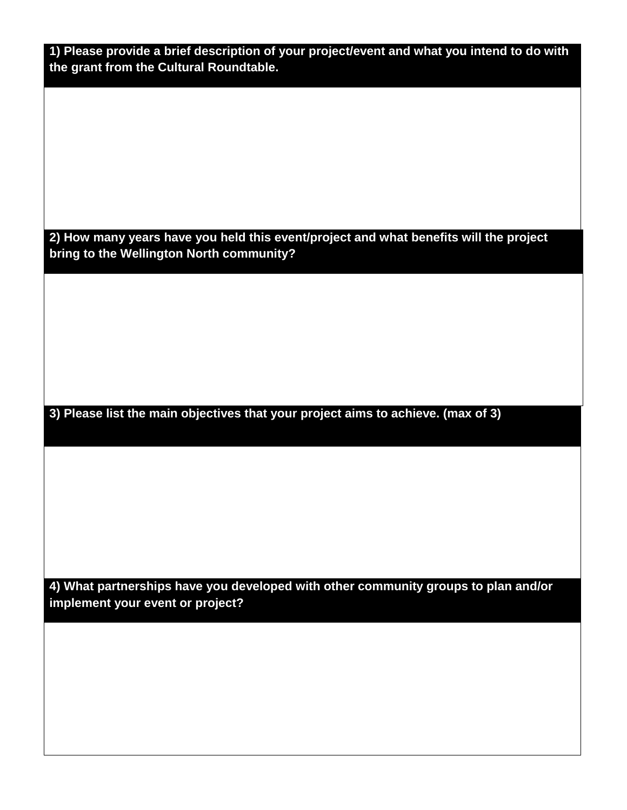| 1) Please provide a brief description of your project/event and what you intend to do with |  |
|--------------------------------------------------------------------------------------------|--|
| the grant from the Cultural Roundtable.                                                    |  |

**2) How many years have you held this event/project and what benefits will the project bring to the Wellington North community?**

**3) Please list the main objectives that your project aims to achieve. (max of 3)**

**4) What partnerships have you developed with other community groups to plan and/or implement your event or project?**